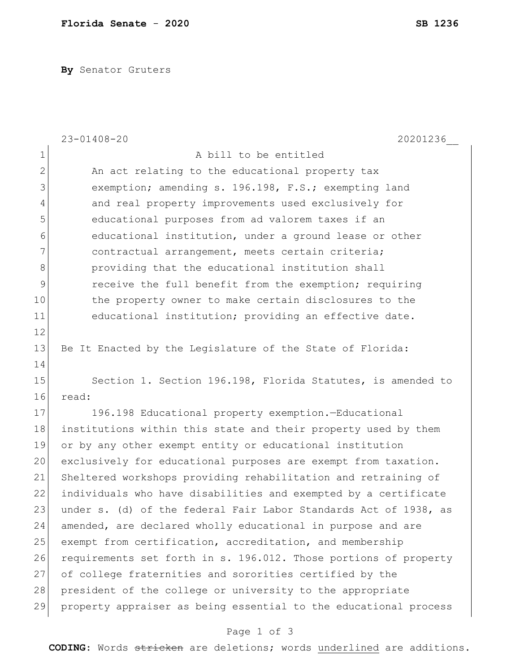**By** Senator Gruters

|                | $23 - 01408 - 20$<br>20201236                                    |
|----------------|------------------------------------------------------------------|
| $\mathbf 1$    | A bill to be entitled                                            |
| $\mathbf{2}$   | An act relating to the educational property tax                  |
| 3              | exemption; amending s. 196.198, F.S.; exempting land             |
| $\overline{4}$ | and real property improvements used exclusively for              |
| 5              | educational purposes from ad valorem taxes if an                 |
| 6              | educational institution, under a ground lease or other           |
| 7              | contractual arrangement, meets certain criteria;                 |
| $\,8\,$        | providing that the educational institution shall                 |
| 9              | receive the full benefit from the exemption; requiring           |
| 10             | the property owner to make certain disclosures to the            |
| 11             | educational institution; providing an effective date.            |
| 12             |                                                                  |
| 13             | Be It Enacted by the Legislature of the State of Florida:        |
| 14             |                                                                  |
| 15             | Section 1. Section 196.198, Florida Statutes, is amended to      |
| 16             | read:                                                            |
| 17             | 196.198 Educational property exemption.-Educational              |
| 18             | institutions within this state and their property used by them   |
| 19             | or by any other exempt entity or educational institution         |
| 20             | exclusively for educational purposes are exempt from taxation.   |
| 21             | Sheltered workshops providing rehabilitation and retraining of   |
| 22             | individuals who have disabilities and exempted by a certificate  |
| 23             | under s. (d) of the federal Fair Labor Standards Act of 1938, as |
| 24             | amended, are declared wholly educational in purpose and are      |
| 25             | exempt from certification, accreditation, and membership         |
| 26             | requirements set forth in s. 196.012. Those portions of property |
| 27             | of college fraternities and sororities certified by the          |
| 28             | president of the college or university to the appropriate        |
| 29             | property appraiser as being essential to the educational process |

## Page 1 of 3

**CODING**: Words stricken are deletions; words underlined are additions.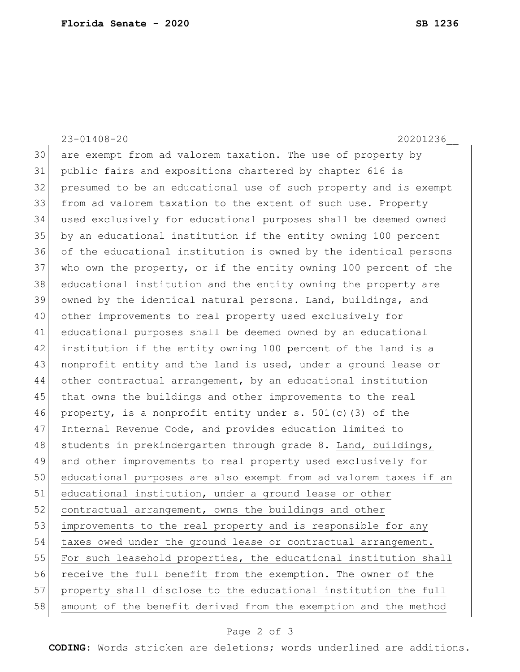23-01408-20 20201236\_\_ are exempt from ad valorem taxation. The use of property by public fairs and expositions chartered by chapter 616 is presumed to be an educational use of such property and is exempt from ad valorem taxation to the extent of such use. Property used exclusively for educational purposes shall be deemed owned by an educational institution if the entity owning 100 percent of the educational institution is owned by the identical persons 37 who own the property, or if the entity owning 100 percent of the educational institution and the entity owning the property are owned by the identical natural persons. Land, buildings, and other improvements to real property used exclusively for educational purposes shall be deemed owned by an educational institution if the entity owning 100 percent of the land is a nonprofit entity and the land is used, under a ground lease or other contractual arrangement, by an educational institution that owns the buildings and other improvements to the real 46 property, is a nonprofit entity under s.  $501(c)$  (3) of the 47 Internal Revenue Code, and provides education limited to 48 students in prekindergarten through grade 8. Land, buildings, and other improvements to real property used exclusively for educational purposes are also exempt from ad valorem taxes if an 51 educational institution, under a ground lease or other 52 contractual arrangement, owns the buildings and other 53 improvements to the real property and is responsible for any 54 taxes owed under the ground lease or contractual arrangement. 55 For such leasehold properties, the educational institution shall receive the full benefit from the exemption. The owner of the property shall disclose to the educational institution the full amount of the benefit derived from the exemption and the method

## Page 2 of 3

**CODING**: Words stricken are deletions; words underlined are additions.